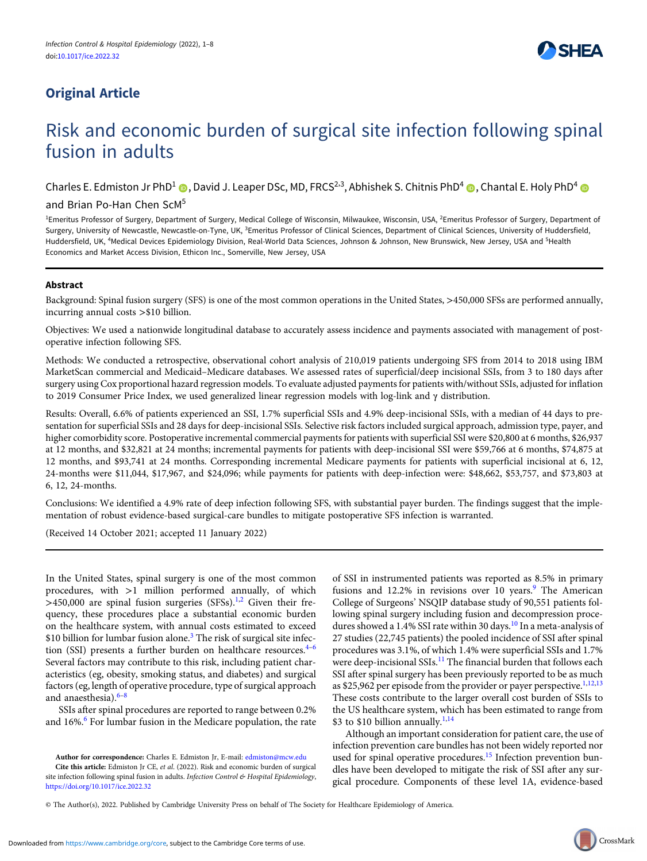# Original Article



# Risk and economic burden of surgical site infection following spinal fusion in adults

Charles E. Edmiston Jr PhD<sup>1</sup> ( , David J. Leaper DSc, MD, FRCS<sup>2,3</sup>, Abhishek S. Chitnis PhD<sup>4</sup> ( , Chantal E. Holy PhD<sup>4</sup>

# and Brian Po-Han Chen ScM5

<sup>1</sup>Emeritus Professor of Surgery, Department of Surgery, Medical College of Wisconsin, Milwaukee, Wisconsin, USA, <sup>2</sup>Emeritus Professor of Surgery, Department of Surgery, University of Newcastle, Newcastle-on-Tyne, UK, <sup>3</sup>Emeritus Professor of Clinical Sciences, Department of Clinical Sciences, University of Huddersfield, Huddersfield, UK, <sup>4</sup>Medical Devices Epidemiology Division, Real-World Data Sciences, Johnson & Johnson, New Brunswick, New Jersey, USA and <sup>5</sup>Health Economics and Market Access Division, Ethicon Inc., Somerville, New Jersey, USA

# Abstract

Background: Spinal fusion surgery (SFS) is one of the most common operations in the United States, >450,000 SFSs are performed annually, incurring annual costs >\$10 billion.

Objectives: We used a nationwide longitudinal database to accurately assess incidence and payments associated with management of postoperative infection following SFS.

Methods: We conducted a retrospective, observational cohort analysis of 210,019 patients undergoing SFS from 2014 to 2018 using IBM MarketScan commercial and Medicaid–Medicare databases. We assessed rates of superficial/deep incisional SSIs, from 3 to 180 days after surgery using Cox proportional hazard regression models. To evaluate adjusted payments for patients with/without SSIs, adjusted for inflation to 2019 Consumer Price Index, we used generalized linear regression models with log-link and γ distribution.

Results: Overall, 6.6% of patients experienced an SSI, 1.7% superficial SSIs and 4.9% deep-incisional SSIs, with a median of 44 days to presentation for superficial SSIs and 28 days for deep-incisional SSIs. Selective risk factors included surgical approach, admission type, payer, and higher comorbidity score. Postoperative incremental commercial payments for patients with superficial SSI were \$20,800 at 6 months, \$26,937 at 12 months, and \$32,821 at 24 months; incremental payments for patients with deep-incisional SSI were \$59,766 at 6 months, \$74,875 at 12 months, and \$93,741 at 24 months. Corresponding incremental Medicare payments for patients with superficial incisional at 6, 12, 24-months were \$11,044, \$17,967, and \$24,096; while payments for patients with deep-infection were: \$48,662, \$53,757, and \$73,803 at 6, 12, 24-months.

Conclusions: We identified a 4.9% rate of deep infection following SFS, with substantial payer burden. The findings suggest that the implementation of robust evidence-based surgical-care bundles to mitigate postoperative SFS infection is warranted.

(Received 14 October 2021; accepted 11 January 2022)

In the United States, spinal surgery is one of the most common procedures, with >1 million performed annually, of which  $>450,000$  are spinal fusion surgeries (SFSs).<sup>1,2</sup> Given their frequency, these procedures place a substantial economic burden on the healthcare system, with annual costs estimated to exceed \$10 billion for lumbar fusion alone.<sup>3</sup> The risk of surgical site infection (SSI) presents a further burden on healthcare resources.<sup>4-6</sup> Several factors may contribute to this risk, including patient characteristics (eg, obesity, smoking status, and diabetes) and surgical factors (eg, length of operative procedure, type of surgical approach and anaesthesia).<sup>6-8</sup>

SSIs after spinal procedures are reported to range between 0.2% and 16%.<sup>6</sup> For lumbar fusion in the Medicare population, the rate

Author for correspondence: Charles E. Edmiston Jr, E-mail: edmiston@mcw.edu

Cite this article: Edmiston Jr CE, et al. (2022). Risk and economic burden of surgical site infection following spinal fusion in adults. Infection Control & Hospital Epidemiology, https://doi.org/10.1017/ice.2022.32

of SSI in instrumented patients was reported as 8.5% in primary fusions and 12.2% in revisions over 10 years.<sup>9</sup> The American College of Surgeons' NSQIP database study of 90,551 patients following spinal surgery including fusion and decompression procedures showed a 1.4% SSI rate within 30 days.<sup>10</sup> In a meta-analysis of 27 studies (22,745 patients) the pooled incidence of SSI after spinal procedures was 3.1%, of which 1.4% were superficial SSIs and 1.7% were deep-incisional SSIs.<sup>11</sup> The financial burden that follows each SSI after spinal surgery has been previously reported to be as much as \$25,962 per episode from the provider or payer perspective.<sup>1,12,13</sup> These costs contribute to the larger overall cost burden of SSIs to the US healthcare system, which has been estimated to range from \$3 to \$10 billion annually.<sup>1,14</sup>

Although an important consideration for patient care, the use of infection prevention care bundles has not been widely reported nor used for spinal operative procedures.<sup>15</sup> Infection prevention bundles have been developed to mitigate the risk of SSI after any surgical procedure. Components of these level 1A, evidence-based

© The Author(s), 2022. Published by Cambridge University Press on behalf of The Society for Healthcare Epidemiology of America.

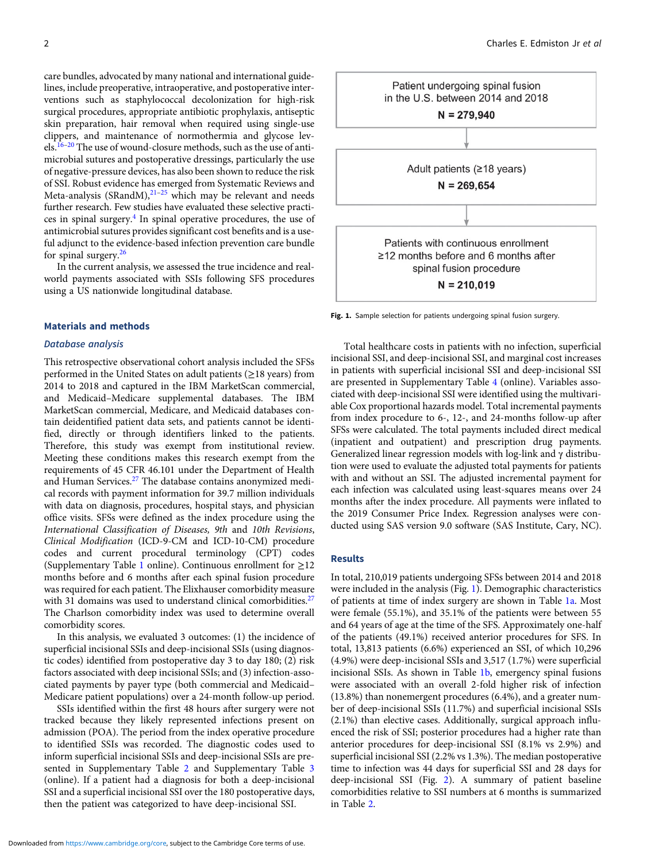care bundles, advocated by many national and international guidelines, include preoperative, intraoperative, and postoperative interventions such as staphylococcal decolonization for high-risk surgical procedures, appropriate antibiotic prophylaxis, antiseptic skin preparation, hair removal when required using single-use clippers, and maintenance of normothermia and glycose levels.<sup>16</sup>–<sup>20</sup> The use of wound-closure methods, such as the use of antimicrobial sutures and postoperative dressings, particularly the use of negative-pressure devices, has also been shown to reduce the risk of SSI. Robust evidence has emerged from Systematic Reviews and Meta-analysis (SRandM), $^{21-25}$  which may be relevant and needs further research. Few studies have evaluated these selective practices in spinal surgery.<sup>4</sup> In spinal operative procedures, the use of antimicrobial sutures provides significant cost benefits and is a useful adjunct to the evidence-based infection prevention care bundle for spinal surgery.<sup>26</sup>

In the current analysis, we assessed the true incidence and realworld payments associated with SSIs following SFS procedures using a US nationwide longitudinal database.

#### Materials and methods

### Database analysis

This retrospective observational cohort analysis included the SFSs performed in the United States on adult patients (≥18 years) from 2014 to 2018 and captured in the IBM MarketScan commercial, and Medicaid–Medicare supplemental databases. The IBM MarketScan commercial, Medicare, and Medicaid databases contain deidentified patient data sets, and patients cannot be identified, directly or through identifiers linked to the patients. Therefore, this study was exempt from institutional review. Meeting these conditions makes this research exempt from the requirements of 45 CFR 46.101 under the Department of Health and Human Services.<sup>27</sup> The database contains anonymized medical records with payment information for 39.7 million individuals with data on diagnosis, procedures, hospital stays, and physician office visits. SFSs were defined as the index procedure using the International Classification of Diseases, 9th and 10th Revisions, Clinical Modification (ICD-9-CM and ICD-10-CM) procedure codes and current procedural terminology (CPT) codes (Supplementary Table 1 online). Continuous enrollment for  $\geq$ 12 months before and 6 months after each spinal fusion procedure was required for each patient. The Elixhauser comorbidity measure with 31 domains was used to understand clinical comorbidities.<sup>27</sup> The Charlson comorbidity index was used to determine overall comorbidity scores.

In this analysis, we evaluated 3 outcomes: (1) the incidence of superficial incisional SSIs and deep-incisional SSIs (using diagnostic codes) identified from postoperative day 3 to day 180; (2) risk factors associated with deep incisional SSIs; and (3) infection-associated payments by payer type (both commercial and Medicaid– Medicare patient populations) over a 24-month follow-up period.

SSIs identified within the first 48 hours after surgery were not tracked because they likely represented infections present on admission (POA). The period from the index operative procedure to identified SSIs was recorded. The diagnostic codes used to inform superficial incisional SSIs and deep-incisional SSIs are presented in Supplementary Table 2 and Supplementary Table 3 (online). If a patient had a diagnosis for both a deep-incisional SSI and a superficial incisional SSI over the 180 postoperative days, then the patient was categorized to have deep-incisional SSI.



Fig. 1. Sample selection for patients undergoing spinal fusion surgery.

Total healthcare costs in patients with no infection, superficial incisional SSI, and deep-incisional SSI, and marginal cost increases in patients with superficial incisional SSI and deep-incisional SSI are presented in Supplementary Table 4 (online). Variables associated with deep-incisional SSI were identified using the multivariable Cox proportional hazards model. Total incremental payments from index procedure to 6-, 12-, and 24-months follow-up after SFSs were calculated. The total payments included direct medical (inpatient and outpatient) and prescription drug payments. Generalized linear regression models with log-link and γ distribution were used to evaluate the adjusted total payments for patients with and without an SSI. The adjusted incremental payment for each infection was calculated using least-squares means over 24 months after the index procedure. All payments were inflated to the 2019 Consumer Price Index. Regression analyses were conducted using SAS version 9.0 software (SAS Institute, Cary, NC).

#### Results

In total, 210,019 patients undergoing SFSs between 2014 and 2018 were included in the analysis (Fig. 1). Demographic characteristics of patients at time of index surgery are shown in Table 1a. Most were female (55.1%), and 35.1% of the patients were between 55 and 64 years of age at the time of the SFS. Approximately one-half of the patients (49.1%) received anterior procedures for SFS. In total, 13,813 patients (6.6%) experienced an SSI, of which 10,296 (4.9%) were deep-incisional SSIs and 3,517 (1.7%) were superficial incisional SSIs. As shown in Table 1b, emergency spinal fusions were associated with an overall 2-fold higher risk of infection (13.8%) than nonemergent procedures (6.4%), and a greater number of deep-incisional SSIs (11.7%) and superficial incisional SSIs (2.1%) than elective cases. Additionally, surgical approach influenced the risk of SSI; posterior procedures had a higher rate than anterior procedures for deep-incisional SSI (8.1% vs 2.9%) and superficial incisional SSI (2.2% vs 1.3%). The median postoperative time to infection was 44 days for superficial SSI and 28 days for deep-incisional SSI (Fig. 2). A summary of patient baseline comorbidities relative to SSI numbers at 6 months is summarized in Table 2.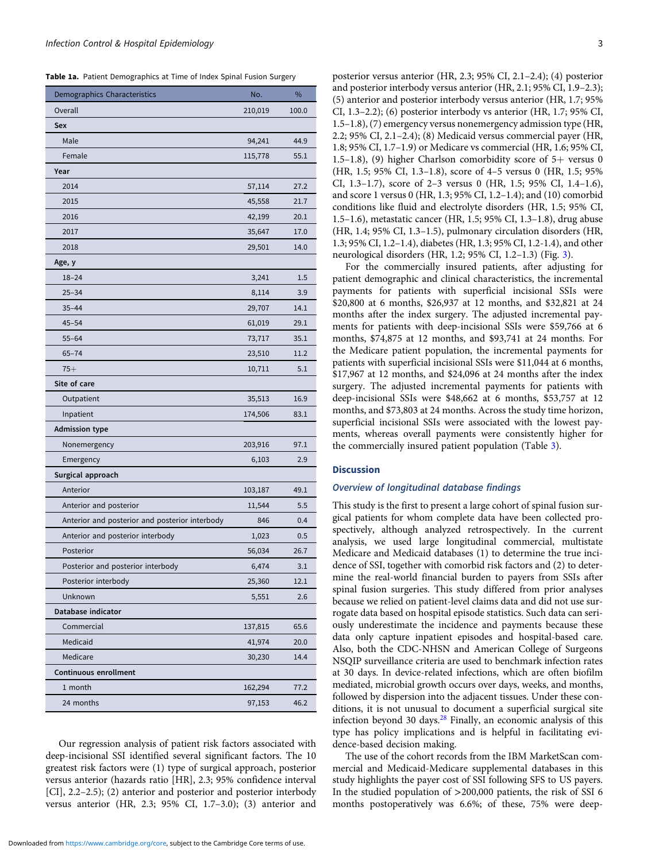Table 1a. Patient Demographics at Time of Index Spinal Fusion Surgery

| <b>Demographics Characteristics</b>            | No.     | %     |
|------------------------------------------------|---------|-------|
| Overall                                        | 210,019 | 100.0 |
| Sex                                            |         |       |
| Male                                           | 94,241  | 44.9  |
| Female                                         | 115,778 | 55.1  |
| Year                                           |         |       |
| 2014                                           | 57,114  | 27.2  |
| 2015                                           | 45,558  | 21.7  |
| 2016                                           | 42,199  | 20.1  |
| 2017                                           | 35,647  | 17.0  |
| 2018                                           | 29,501  | 14.0  |
| Age, y                                         |         |       |
| $18 - 24$                                      | 3,241   | 1.5   |
| $25 - 34$                                      | 8,114   | 3.9   |
| $35 - 44$                                      | 29,707  | 14.1  |
| $45 - 54$                                      | 61,019  | 29.1  |
| $55 - 64$                                      | 73,717  | 35.1  |
| $65 - 74$                                      | 23,510  | 11.2  |
| $75+$                                          | 10,711  | 5.1   |
| Site of care                                   |         |       |
| Outpatient                                     | 35,513  | 16.9  |
| Inpatient                                      | 174,506 | 83.1  |
| <b>Admission type</b>                          |         |       |
| Nonemergency                                   | 203,916 | 97.1  |
| Emergency                                      | 6,103   | 2.9   |
| Surgical approach                              |         |       |
| Anterior                                       | 103,187 | 49.1  |
| Anterior and posterior                         | 11,544  | 5.5   |
| Anterior and posterior and posterior interbody | 846     | 0.4   |
| Anterior and posterior interbody               | 1,023   | 0.5   |
| Posterior                                      | 56,034  | 26.7  |
| Posterior and posterior interbody              | 6,474   | 3.1   |
| Posterior interbody                            | 25,360  | 12.1  |
| Unknown                                        | 5,551   | 2.6   |
| Database indicator                             |         |       |
| Commercial                                     | 137,815 | 65.6  |
| Medicaid                                       | 41,974  | 20.0  |
| Medicare                                       | 30,230  | 14.4  |
| Continuous enrollment                          |         |       |
| 1 month                                        | 162,294 | 77.2  |
| 24 months                                      | 97,153  | 46.2  |

Our regression analysis of patient risk factors associated with deep-incisional SSI identified several significant factors. The 10 greatest risk factors were (1) type of surgical approach, posterior versus anterior (hazards ratio [HR], 2.3; 95% confidence interval [CI], 2.2–2.5); (2) anterior and posterior and posterior interbody versus anterior (HR, 2.3; 95% CI, 1.7–3.0); (3) anterior and posterior versus anterior (HR, 2.3; 95% CI, 2.1–2.4); (4) posterior and posterior interbody versus anterior (HR, 2.1; 95% CI, 1.9–2.3); (5) anterior and posterior interbody versus anterior (HR, 1.7; 95% CI, 1.3–2.2); (6) posterior interbody vs anterior (HR, 1.7; 95% CI, 1.5–1.8), (7) emergency versus nonemergency admission type (HR, 2.2; 95% CI, 2.1–2.4); (8) Medicaid versus commercial payer (HR, 1.8; 95% CI, 1.7–1.9) or Medicare vs commercial (HR, 1.6; 95% CI, 1.5–1.8), (9) higher Charlson comorbidity score of  $5+$  versus 0 (HR, 1.5; 95% CI, 1.3–1.8), score of 4–5 versus 0 (HR, 1.5; 95% CI, 1.3–1.7), score of 2–3 versus 0 (HR, 1.5; 95% CI, 1.4–1.6), and score 1 versus 0 (HR, 1.3; 95% CI, 1.2–1.4); and (10) comorbid conditions like fluid and electrolyte disorders (HR, 1.5; 95% CI, 1.5–1.6), metastatic cancer (HR, 1.5; 95% CI, 1.3–1.8), drug abuse (HR, 1.4; 95% CI, 1.3–1.5), pulmonary circulation disorders (HR, 1.3; 95% CI, 1.2–1.4), diabetes (HR, 1.3; 95% CI, 1.2-1.4), and other neurological disorders (HR, 1.2; 95% CI, 1.2–1.3) (Fig. 3).

For the commercially insured patients, after adjusting for patient demographic and clinical characteristics, the incremental payments for patients with superficial incisional SSIs were \$20,800 at 6 months, \$26,937 at 12 months, and \$32,821 at 24 months after the index surgery. The adjusted incremental payments for patients with deep-incisional SSIs were \$59,766 at 6 months, \$74,875 at 12 months, and \$93,741 at 24 months. For the Medicare patient population, the incremental payments for patients with superficial incisional SSIs were \$11,044 at 6 months, \$17,967 at 12 months, and \$24,096 at 24 months after the index surgery. The adjusted incremental payments for patients with deep-incisional SSIs were \$48,662 at 6 months, \$53,757 at 12 months, and \$73,803 at 24 months. Across the study time horizon, superficial incisional SSIs were associated with the lowest payments, whereas overall payments were consistently higher for the commercially insured patient population (Table 3).

#### **Discussion**

#### Overview of longitudinal database findings

This study is the first to present a large cohort of spinal fusion surgical patients for whom complete data have been collected prospectively, although analyzed retrospectively. In the current analysis, we used large longitudinal commercial, multistate Medicare and Medicaid databases (1) to determine the true incidence of SSI, together with comorbid risk factors and (2) to determine the real-world financial burden to payers from SSIs after spinal fusion surgeries. This study differed from prior analyses because we relied on patient-level claims data and did not use surrogate data based on hospital episode statistics. Such data can seriously underestimate the incidence and payments because these data only capture inpatient episodes and hospital-based care. Also, both the CDC-NHSN and American College of Surgeons NSQIP surveillance criteria are used to benchmark infection rates at 30 days. In device-related infections, which are often biofilm mediated, microbial growth occurs over days, weeks, and months, followed by dispersion into the adjacent tissues. Under these conditions, it is not unusual to document a superficial surgical site infection beyond 30 days. $^{28}$  Finally, an economic analysis of this type has policy implications and is helpful in facilitating evidence-based decision making.

The use of the cohort records from the IBM MarketScan commercial and Medicaid-Medicare supplemental databases in this study highlights the payer cost of SSI following SFS to US payers. In the studied population of >200,000 patients, the risk of SSI 6 months postoperatively was 6.6%; of these, 75% were deep-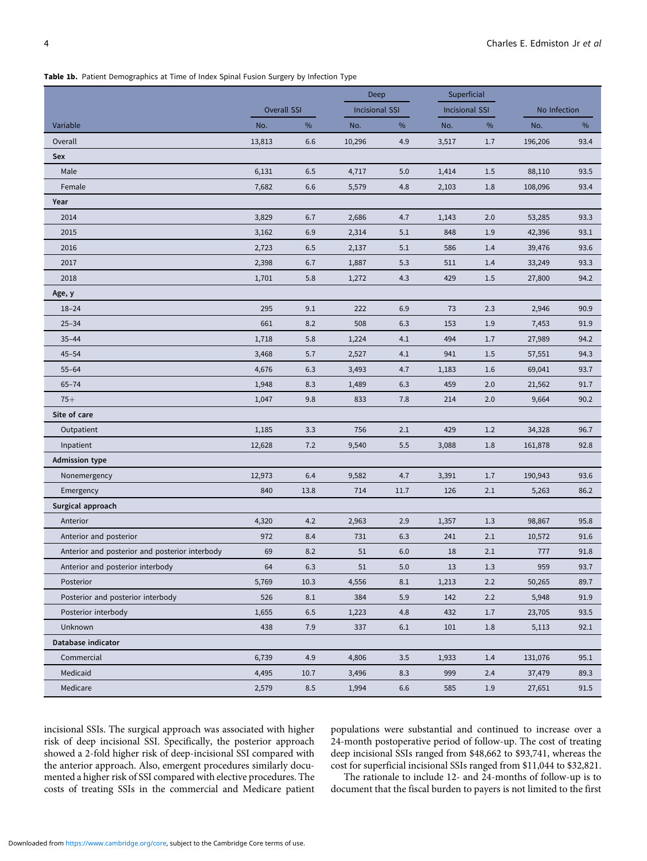Table 1b. Patient Demographics at Time of Index Spinal Fusion Surgery by Infection Type

|                                                |                    | Deep    |                       | Superficial |                       |         |              |      |
|------------------------------------------------|--------------------|---------|-----------------------|-------------|-----------------------|---------|--------------|------|
|                                                | <b>Overall SSI</b> |         | <b>Incisional SSI</b> |             | <b>Incisional SSI</b> |         | No Infection |      |
| Variable                                       | No.                | $\%$    | No.                   | $\%$        | No.                   | $\%$    | No.          | $\%$ |
| Overall                                        | 13,813             | 6.6     | 10,296                | 4.9         | 3,517                 | $1.7\,$ | 196,206      | 93.4 |
| Sex                                            |                    |         |                       |             |                       |         |              |      |
| Male                                           | 6,131              | $6.5\,$ | 4,717                 | 5.0         | 1,414                 | 1.5     | 88,110       | 93.5 |
| Female                                         | 7,682              | 6.6     | 5,579                 | 4.8         | 2,103                 | $1.8\,$ | 108,096      | 93.4 |
| Year                                           |                    |         |                       |             |                       |         |              |      |
| 2014                                           | 3,829              | 6.7     | 2,686                 | 4.7         | 1,143                 | $2.0$   | 53,285       | 93.3 |
| 2015                                           | 3,162              | 6.9     | 2,314                 | 5.1         | 848                   | 1.9     | 42,396       | 93.1 |
| 2016                                           | 2,723              | 6.5     | 2,137                 | 5.1         | 586                   | 1.4     | 39,476       | 93.6 |
| 2017                                           | 2,398              | 6.7     | 1,887                 | 5.3         | 511                   | 1.4     | 33,249       | 93.3 |
| 2018                                           | 1,701              | 5.8     | 1,272                 | 4.3         | 429                   | $1.5\,$ | 27,800       | 94.2 |
| Age, y                                         |                    |         |                       |             |                       |         |              |      |
| $18 - 24$                                      | 295                | 9.1     | 222                   | 6.9         | 73                    | 2.3     | 2,946        | 90.9 |
| $25 - 34$                                      | 661                | 8.2     | 508                   | 6.3         | 153                   | $1.9\,$ | 7,453        | 91.9 |
| $35 - 44$                                      | 1,718              | 5.8     | 1,224                 | 4.1         | 494                   | 1.7     | 27,989       | 94.2 |
| $45 - 54$                                      | 3,468              | 5.7     | 2,527                 | 4.1         | 941                   | 1.5     | 57,551       | 94.3 |
| $55 - 64$                                      | 4,676              | 6.3     | 3,493                 | 4.7         | 1,183                 | $1.6\,$ | 69,041       | 93.7 |
| $65 - 74$                                      | 1,948              | 8.3     | 1,489                 | 6.3         | 459                   | 2.0     | 21,562       | 91.7 |
| $75+$                                          | 1,047              | 9.8     | 833                   | 7.8         | 214                   | $2.0$   | 9,664        | 90.2 |
| Site of care                                   |                    |         |                       |             |                       |         |              |      |
| Outpatient                                     | 1,185              | 3.3     | 756                   | 2.1         | 429                   | 1.2     | 34,328       | 96.7 |
| Inpatient                                      | 12,628             | $7.2$   | 9,540                 | 5.5         | 3,088                 | 1.8     | 161,878      | 92.8 |
| <b>Admission type</b>                          |                    |         |                       |             |                       |         |              |      |
| Nonemergency                                   | 12,973             | 6.4     | 9,582                 | 4.7         | 3,391                 | 1.7     | 190,943      | 93.6 |
| Emergency                                      | 840                | 13.8    | 714                   | 11.7        | 126                   | 2.1     | 5,263        | 86.2 |
| Surgical approach                              |                    |         |                       |             |                       |         |              |      |
| Anterior                                       | 4,320              | 4.2     | 2,963                 | 2.9         | 1,357                 | 1.3     | 98,867       | 95.8 |
| Anterior and posterior                         | 972                | 8.4     | 731                   | 6.3         | 241                   | 2.1     | 10,572       | 91.6 |
| Anterior and posterior and posterior interbody | 69                 | 8.2     | 51                    | 6.0         | 18                    | 2.1     | 777          | 91.8 |
| Anterior and posterior interbody               | 64                 | 6.3     | 51                    | 5.0         | 13                    | 1.3     | 959          | 93.7 |
| Posterior                                      | 5,769              | 10.3    | 4,556                 | 8.1         | 1,213                 | 2.2     | 50,265       | 89.7 |
| Posterior and posterior interbody              | 526                | 8.1     | 384                   | 5.9         | 142                   | 2.2     | 5,948        | 91.9 |
| Posterior interbody                            | 1,655              | 6.5     | 1,223                 | 4.8         | 432                   | 1.7     | 23,705       | 93.5 |
| Unknown                                        | 438                | 7.9     | 337                   | 6.1         | 101                   | 1.8     | 5,113        | 92.1 |
| Database indicator                             |                    |         |                       |             |                       |         |              |      |
| Commercial                                     | 6,739              | 4.9     | 4,806                 | 3.5         | 1,933                 | 1.4     | 131,076      | 95.1 |
| Medicaid                                       | 4,495              | 10.7    | 3,496                 | 8.3         | 999                   | 2.4     | 37,479       | 89.3 |
| Medicare                                       | 2,579              | 8.5     | 1,994                 | 6.6         | 585                   | $1.9\,$ | 27,651       | 91.5 |

incisional SSIs. The surgical approach was associated with higher risk of deep incisional SSI. Specifically, the posterior approach showed a 2-fold higher risk of deep-incisional SSI compared with the anterior approach. Also, emergent procedures similarly documented a higher risk of SSI compared with elective procedures. The costs of treating SSIs in the commercial and Medicare patient populations were substantial and continued to increase over a 24-month postoperative period of follow-up. The cost of treating deep incisional SSIs ranged from \$48,662 to \$93,741, whereas the cost for superficial incisional SSIs ranged from \$11,044 to \$32,821.

The rationale to include 12- and 24-months of follow-up is to document that the fiscal burden to payers is not limited to the first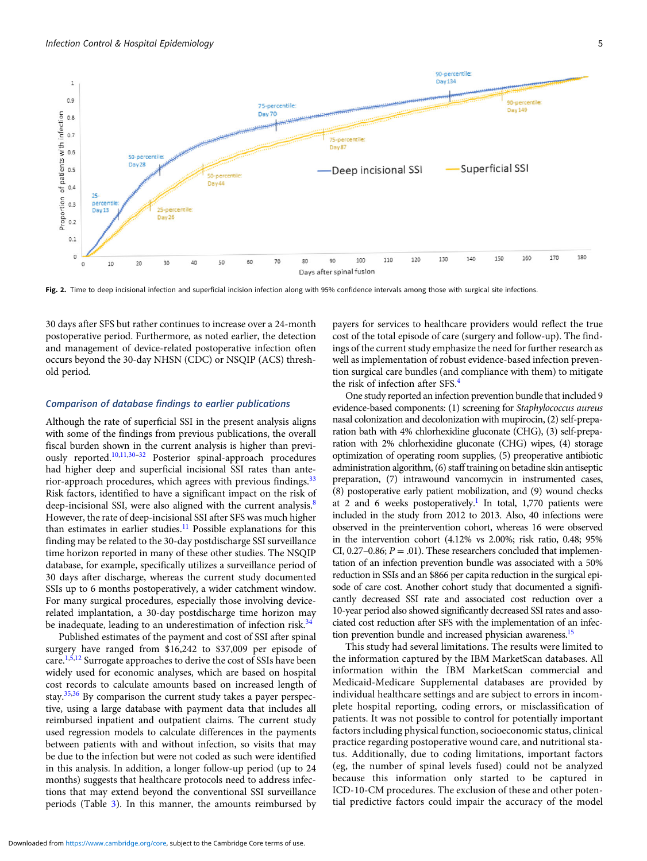

Fig. 2. Time to deep incisional infection and superficial incision infection along with 95% confidence intervals among those with surgical site infections.

30 days after SFS but rather continues to increase over a 24-month postoperative period. Furthermore, as noted earlier, the detection and management of device-related postoperative infection often occurs beyond the 30-day NHSN (CDC) or NSQIP (ACS) threshold period.

#### Comparison of database findings to earlier publications

Although the rate of superficial SSI in the present analysis aligns with some of the findings from previous publications, the overall fiscal burden shown in the current analysis is higher than previously reported.10,11,30–<sup>32</sup> Posterior spinal-approach procedures had higher deep and superficial incisional SSI rates than anterior-approach procedures, which agrees with previous findings. $33$ Risk factors, identified to have a significant impact on the risk of deep-incisional SSI, were also aligned with the current analysis.<sup>8</sup> However, the rate of deep-incisional SSI after SFS was much higher than estimates in earlier studies.<sup>11</sup> Possible explanations for this finding may be related to the 30-day postdischarge SSI surveillance time horizon reported in many of these other studies. The NSQIP database, for example, specifically utilizes a surveillance period of 30 days after discharge, whereas the current study documented SSIs up to 6 months postoperatively, a wider catchment window. For many surgical procedures, especially those involving devicerelated implantation, a 30-day postdischarge time horizon may be inadequate, leading to an underestimation of infection risk.<sup>34</sup>

Published estimates of the payment and cost of SSI after spinal surgery have ranged from \$16,242 to \$37,009 per episode of care.<sup>1,5,12</sup> Surrogate approaches to derive the cost of SSIs have been widely used for economic analyses, which are based on hospital cost records to calculate amounts based on increased length of stay.35,36 By comparison the current study takes a payer perspective, using a large database with payment data that includes all reimbursed inpatient and outpatient claims. The current study used regression models to calculate differences in the payments between patients with and without infection, so visits that may be due to the infection but were not coded as such were identified in this analysis. In addition, a longer follow-up period (up to 24 months) suggests that healthcare protocols need to address infections that may extend beyond the conventional SSI surveillance periods (Table 3). In this manner, the amounts reimbursed by

payers for services to healthcare providers would reflect the true cost of the total episode of care (surgery and follow-up). The findings of the current study emphasize the need for further research as well as implementation of robust evidence-based infection prevention surgical care bundles (and compliance with them) to mitigate the risk of infection after SFS.<sup>4</sup>

One study reported an infection prevention bundle that included 9 evidence-based components: (1) screening for Staphylococcus aureus nasal colonization and decolonization with mupirocin, (2) self-preparation bath with 4% chlorhexidine gluconate (CHG), (3) self-preparation with 2% chlorhexidine gluconate (CHG) wipes, (4) storage optimization of operating room supplies, (5) preoperative antibiotic administration algorithm, (6) staff training on betadine skin antiseptic preparation, (7) intrawound vancomycin in instrumented cases, (8) postoperative early patient mobilization, and (9) wound checks at 2 and 6 weeks postoperatively.<sup>1</sup> In total, 1,770 patients were included in the study from 2012 to 2013. Also, 40 infections were observed in the preintervention cohort, whereas 16 were observed in the intervention cohort (4.12% vs 2.00%; risk ratio, 0.48; 95% CI, 0.27–0.86;  $P = .01$ ). These researchers concluded that implementation of an infection prevention bundle was associated with a 50% reduction in SSIs and an \$866 per capita reduction in the surgical episode of care cost. Another cohort study that documented a significantly decreased SSI rate and associated cost reduction over a 10-year period also showed significantly decreased SSI rates and associated cost reduction after SFS with the implementation of an infection prevention bundle and increased physician awareness.15

This study had several limitations. The results were limited to the information captured by the IBM MarketScan databases. All information within the IBM MarketScan commercial and Medicaid-Medicare Supplemental databases are provided by individual healthcare settings and are subject to errors in incomplete hospital reporting, coding errors, or misclassification of patients. It was not possible to control for potentially important factors including physical function, socioeconomic status, clinical practice regarding postoperative wound care, and nutritional status. Additionally, due to coding limitations, important factors (eg, the number of spinal levels fused) could not be analyzed because this information only started to be captured in ICD-10-CM procedures. The exclusion of these and other potential predictive factors could impair the accuracy of the model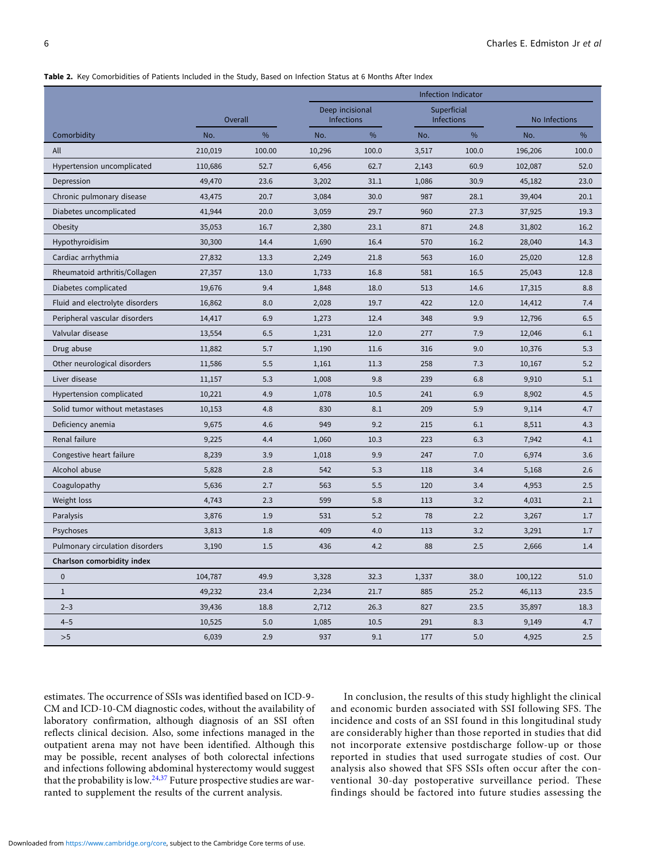#### Table 2. Key Comorbidities of Patients Included in the Study, Based on Infection Status at 6 Months After Index

|                                 |         |        | Infection Indicator                  |       |                           |       |               |       |
|---------------------------------|---------|--------|--------------------------------------|-------|---------------------------|-------|---------------|-------|
|                                 | Overall |        | Deep incisional<br><b>Infections</b> |       | Superficial<br>Infections |       | No Infections |       |
| Comorbidity                     | No.     | $\%$   | No.                                  | $\%$  | No.                       | $\%$  | No.           | %     |
| All                             | 210,019 | 100.00 | 10,296                               | 100.0 | 3,517                     | 100.0 | 196,206       | 100.0 |
| Hypertension uncomplicated      | 110,686 | 52.7   | 6,456                                | 62.7  | 2,143                     | 60.9  | 102,087       | 52.0  |
| Depression                      | 49,470  | 23.6   | 3,202                                | 31.1  | 1,086                     | 30.9  | 45,182        | 23.0  |
| Chronic pulmonary disease       | 43,475  | 20.7   | 3,084                                | 30.0  | 987                       | 28.1  | 39,404        | 20.1  |
| Diabetes uncomplicated          | 41,944  | 20.0   | 3,059                                | 29.7  | 960                       | 27.3  | 37,925        | 19.3  |
| Obesity                         | 35,053  | 16.7   | 2,380                                | 23.1  | 871                       | 24.8  | 31,802        | 16.2  |
| Hypothyroidisim                 | 30,300  | 14.4   | 1,690                                | 16.4  | 570                       | 16.2  | 28,040        | 14.3  |
| Cardiac arrhythmia              | 27,832  | 13.3   | 2,249                                | 21.8  | 563                       | 16.0  | 25,020        | 12.8  |
| Rheumatoid arthritis/Collagen   | 27,357  | 13.0   | 1,733                                | 16.8  | 581                       | 16.5  | 25,043        | 12.8  |
| Diabetes complicated            | 19,676  | 9.4    | 1,848                                | 18.0  | 513                       | 14.6  | 17,315        | 8.8   |
| Fluid and electrolyte disorders | 16,862  | 8.0    | 2,028                                | 19.7  | 422                       | 12.0  | 14,412        | 7.4   |
| Peripheral vascular disorders   | 14,417  | 6.9    | 1,273                                | 12.4  | 348                       | 9.9   | 12,796        | 6.5   |
| Valvular disease                | 13,554  | 6.5    | 1,231                                | 12.0  | 277                       | 7.9   | 12,046        | 6.1   |
| Drug abuse                      | 11,882  | 5.7    | 1,190                                | 11.6  | 316                       | 9.0   | 10,376        | 5.3   |
| Other neurological disorders    | 11,586  | 5.5    | 1,161                                | 11.3  | 258                       | 7.3   | 10,167        | 5.2   |
| Liver disease                   | 11,157  | 5.3    | 1,008                                | 9.8   | 239                       | 6.8   | 9,910         | 5.1   |
| Hypertension complicated        | 10,221  | 4.9    | 1,078                                | 10.5  | 241                       | 6.9   | 8,902         | 4.5   |
| Solid tumor without metastases  | 10,153  | 4.8    | 830                                  | 8.1   | 209                       | 5.9   | 9,114         | 4.7   |
| Deficiency anemia               | 9,675   | 4.6    | 949                                  | 9.2   | 215                       | 6.1   | 8,511         | 4.3   |
| Renal failure                   | 9,225   | 4.4    | 1,060                                | 10.3  | 223                       | 6.3   | 7,942         | 4.1   |
| Congestive heart failure        | 8,239   | 3.9    | 1,018                                | 9.9   | 247                       | 7.0   | 6,974         | 3.6   |
| Alcohol abuse                   | 5,828   | 2.8    | 542                                  | 5.3   | 118                       | 3.4   | 5,168         | 2.6   |
| Coagulopathy                    | 5,636   | 2.7    | 563                                  | 5.5   | 120                       | 3.4   | 4,953         | 2.5   |
| Weight loss                     | 4,743   | 2.3    | 599                                  | 5.8   | 113                       | 3.2   | 4,031         | 2.1   |
| Paralysis                       | 3,876   | 1.9    | 531                                  | 5.2   | 78                        | 2.2   | 3,267         | 1.7   |
| Psychoses                       | 3,813   | 1.8    | 409                                  | 4.0   | 113                       | 3.2   | 3,291         | 1.7   |
| Pulmonary circulation disorders | 3,190   | 1.5    | 436                                  | 4.2   | 88                        | 2.5   | 2,666         | 1.4   |
| Charlson comorbidity index      |         |        |                                      |       |                           |       |               |       |
| $\mathbf 0$                     | 104,787 | 49.9   | 3,328                                | 32.3  | 1,337                     | 38.0  | 100,122       | 51.0  |
| $1\,$                           | 49,232  | 23.4   | 2,234                                | 21.7  | 885                       | 25.2  | 46,113        | 23.5  |
| $2 - 3$                         | 39,436  | 18.8   | 2,712                                | 26.3  | 827                       | 23.5  | 35,897        | 18.3  |
| $4 - 5$                         | 10,525  | 5.0    | 1,085                                | 10.5  | 291                       | 8.3   | 9,149         | 4.7   |
| >5                              | 6,039   | 2.9    | 937                                  | 9.1   | 177                       | 5.0   | 4,925         | 2.5   |

estimates. The occurrence of SSIs was identified based on ICD-9- CM and ICD-10-CM diagnostic codes, without the availability of laboratory confirmation, although diagnosis of an SSI often reflects clinical decision. Also, some infections managed in the outpatient arena may not have been identified. Although this may be possible, recent analyses of both colorectal infections and infections following abdominal hysterectomy would suggest that the probability is low.<sup>24,37</sup> Future prospective studies are warranted to supplement the results of the current analysis.

In conclusion, the results of this study highlight the clinical and economic burden associated with SSI following SFS. The incidence and costs of an SSI found in this longitudinal study are considerably higher than those reported in studies that did not incorporate extensive postdischarge follow-up or those reported in studies that used surrogate studies of cost. Our analysis also showed that SFS SSIs often occur after the conventional 30-day postoperative surveillance period. These findings should be factored into future studies assessing the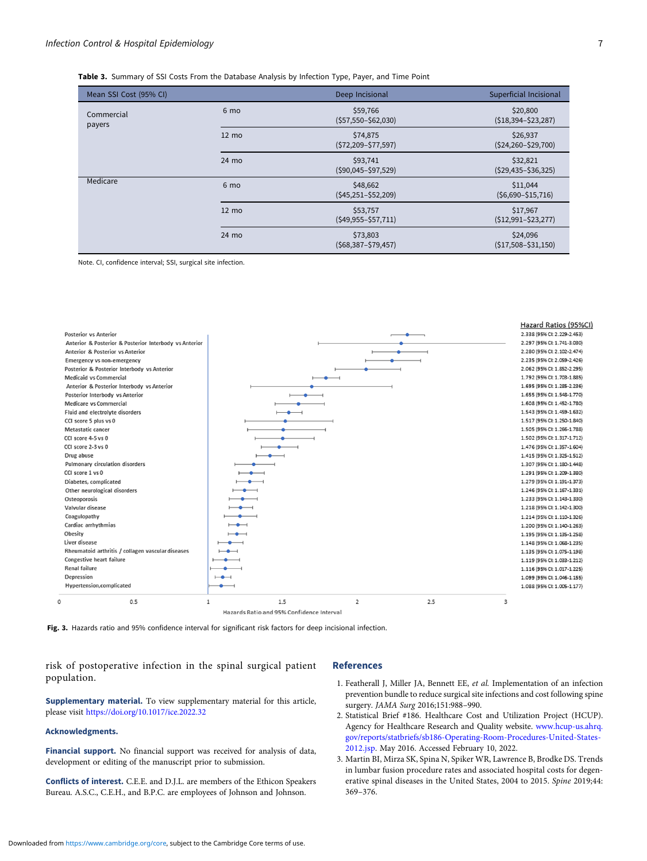Table 3. Summary of SSI Costs From the Database Analysis by Infection Type, Payer, and Time Point

| Mean SSI Cost (95% CI) |                 | Deep Incisional                     | Superficial Incisional              |  |  |
|------------------------|-----------------|-------------------------------------|-------------------------------------|--|--|
| Commercial<br>payers   | 6 mo            | \$59,766<br>$(557,550 - $62,030)$   | \$20,800<br>$(518, 394 - 523, 287)$ |  |  |
|                        | $12 \text{ mo}$ | \$74,875<br>$(572, 209 - 577, 597)$ | \$26,937<br>$(524, 260 - 529, 700)$ |  |  |
|                        | 24 mo           | \$93,741<br>$(590,045 - 597,529)$   | \$32,821<br>$(529, 435 - 536, 325)$ |  |  |
| Medicare               | 6 <sub>mo</sub> | \$48,662<br>$(545, 251 - 552, 209)$ | \$11,044<br>$(56,690 - $15,716)$    |  |  |
|                        | $12 \text{ mo}$ | \$53,757<br>$(549, 955 - 557, 711)$ | \$17,967<br>$(512,991 - 523,277)$   |  |  |
|                        | 24 mo           | \$73,803<br>$(568, 387 - 579, 457)$ | \$24,096<br>$(517,508 - 531,150)$   |  |  |

Note. CI, confidence interval; SSI, surgical site infection.



Fig. 3. Hazards ratio and 95% confidence interval for significant risk factors for deep incisional infection.

risk of postoperative infection in the spinal surgical patient population.

#### Supplementary material. To view supplementary material for this article, please visit https://doi.org/10.1017/ice.2022.32

#### Acknowledgments.

Financial support. No financial support was received for analysis of data, development or editing of the manuscript prior to submission.

Conflicts of interest. C.E.E. and D.J.L. are members of the Ethicon Speakers Bureau. A.S.C., C.E.H., and B.P.C. are employees of Johnson and Johnson.

## References

- 1. Featherall J, Miller JA, Bennett EE, et al. Implementation of an infection prevention bundle to reduce surgical site infections and cost following spine surgery. JAMA Surg 2016;151:988–990.
- 2. Statistical Brief #186. Healthcare Cost and Utilization Project (HCUP). Agency for Healthcare Research and Quality website. www.hcup-us.ahrq. gov/reports/statbriefs/sb186-Operating-Room-Procedures-United-States-2012.jsp. May 2016. Accessed February 10, 2022.
- 3. Martin BI, Mirza SK, Spina N, Spiker WR, Lawrence B, Brodke DS. Trends in lumbar fusion procedure rates and associated hospital costs for degenerative spinal diseases in the United States, 2004 to 2015. Spine 2019;44: 369–376.